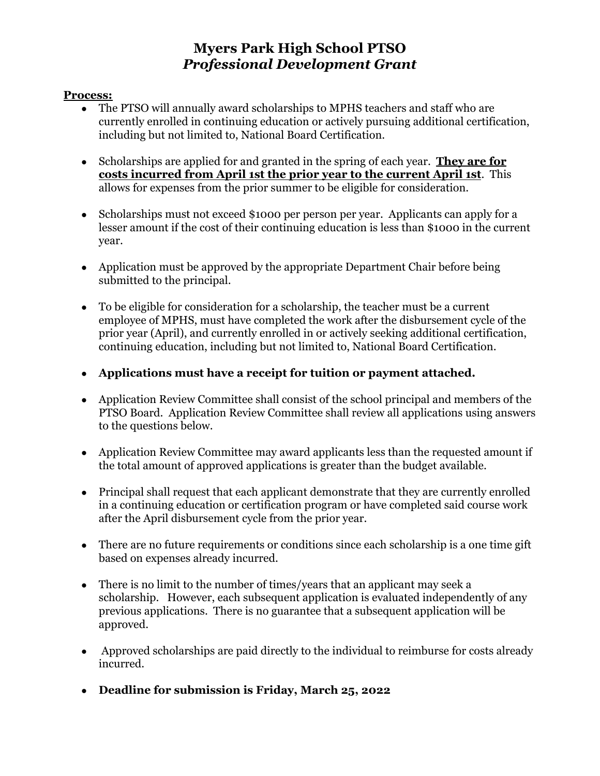# **Myers Park High School PTSO** *Professional Development Grant*

#### **Process:**

- The PTSO will annually award scholarships to MPHS teachers and staff who are currently enrolled in continuing education or actively pursuing additional certification, including but not limited to, National Board Certification.
- Scholarships are applied for and granted in the spring of each year. **They are for costs incurred from April 1st the prior year to the current April 1st**. This allows for expenses from the prior summer to be eligible for consideration.
- Scholarships must not exceed \$1000 per person per year. Applicants can apply for a lesser amount if the cost of their continuing education is less than \$1000 in the current year.
- Application must be approved by the appropriate Department Chair before being submitted to the principal.
- To be eligible for consideration for a scholarship, the teacher must be a current employee of MPHS, must have completed the work after the disbursement cycle of the prior year (April), and currently enrolled in or actively seeking additional certification, continuing education, including but not limited to, National Board Certification.
- **● Applications must have a receipt for tuition or payment attached.**
- Application Review Committee shall consist of the school principal and members of the PTSO Board. Application Review Committee shall review all applications using answers to the questions below.
- Application Review Committee may award applicants less than the requested amount if the total amount of approved applications is greater than the budget available.
- Principal shall request that each applicant demonstrate that they are currently enrolled in a continuing education or certification program or have completed said course work after the April disbursement cycle from the prior year.
- There are no future requirements or conditions since each scholarship is a one time gift based on expenses already incurred.
- There is no limit to the number of times/years that an applicant may seek a scholarship. However, each subsequent application is evaluated independently of any previous applications. There is no guarantee that a subsequent application will be approved.
- Approved scholarships are paid directly to the individual to reimburse for costs already incurred.
- **● Deadline for submission is Friday, March 25, 2022**